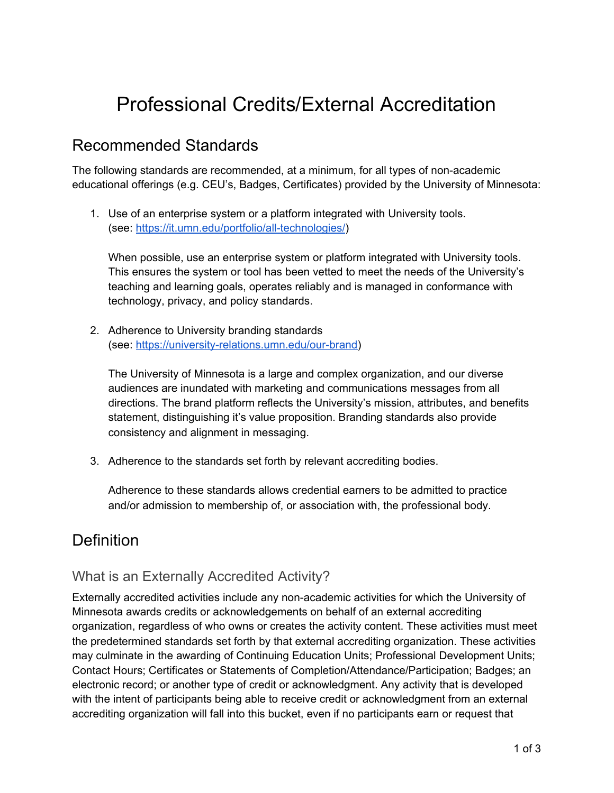# Professional Credits/External Accreditation

### Recommended Standards

The following standards are recommended, at a minimum, for all types of non-academic educational offerings (e.g. CEU's, Badges, Certificates) provided by the University of Minnesota:

1. Use of an enterprise system or a platform integrated with University tools. (see: <https://it.umn.edu/portfolio/all-technologies/>)

When possible, use an enterprise system or platform integrated with University tools. This ensures the system or tool has been vetted to meet the needs of the University's teaching and learning goals, operates reliably and is managed in conformance with technology, privacy, and policy standards.

2. Adherence to University branding standards (see: [https://university-relations.umn.edu/our-brand\)](https://university-relations.umn.edu/our-brand)

The University of Minnesota is a large and complex organization, and our diverse audiences are inundated with marketing and communications messages from all directions. The brand platform reflects the University's mission, attributes, and benefits statement, distinguishing it's value proposition. Branding standards also provide consistency and alignment in messaging.

3. Adherence to the standards set forth by relevant accrediting bodies.

Adherence to these standards allows credential earners to be admitted to practice and/or admission to membership of, or association with, the professional body.

# **Definition**

### What is an Externally Accredited Activity?

Externally accredited activities include any non-academic activities for which the University of Minnesota awards credits or acknowledgements on behalf of an external accrediting organization, regardless of who owns or creates the activity content. These activities must meet the predetermined standards set forth by that external accrediting organization. These activities may culminate in the awarding of Continuing Education Units; Professional Development Units; Contact Hours; Certificates or Statements of Completion/Attendance/Participation; Badges; an electronic record; or another type of credit or acknowledgment. Any activity that is developed with the intent of participants being able to receive credit or acknowledgment from an external accrediting organization will fall into this bucket, even if no participants earn or request that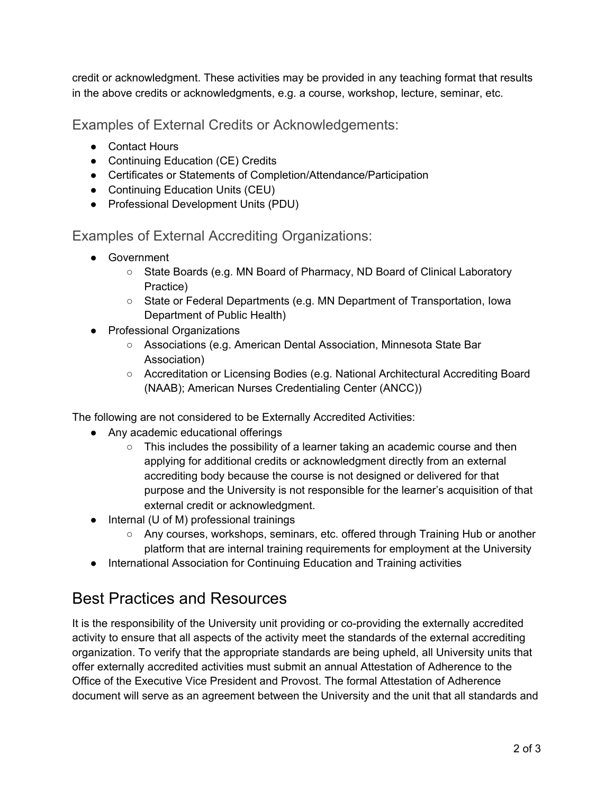credit or acknowledgment. These activities may be provided in any teaching format that results in the above credits or acknowledgments, e.g. a course, workshop, lecture, seminar, etc.

Examples of External Credits or Acknowledgements:

- Contact Hours
- Continuing Education (CE) Credits
- Certificates or Statements of Completion/Attendance/Participation
- Continuing Education Units (CEU)
- Professional Development Units (PDU)

Examples of External Accrediting Organizations:

- Government
	- State Boards (e.g. MN Board of Pharmacy, ND Board of Clinical Laboratory Practice)
	- State or Federal Departments (e.g. MN Department of Transportation, Iowa Department of Public Health)
- Professional Organizations
	- Associations (e.g. American Dental Association, Minnesota State Bar Association)
	- Accreditation or Licensing Bodies (e.g. National Architectural Accrediting Board (NAAB); American Nurses Credentialing Center (ANCC))

The following are not considered to be Externally Accredited Activities:

- Any academic educational offerings
	- $\circ$  This includes the possibility of a learner taking an academic course and then applying for additional credits or acknowledgment directly from an external accrediting body because the course is not designed or delivered for that purpose and the University is not responsible for the learner's acquisition of that external credit or acknowledgment.
- Internal (U of M) professional trainings
	- Any courses, workshops, seminars, etc. offered through Training Hub or another platform that are internal training requirements for employment at the University
- International Association for Continuing Education and Training activities

# Best Practices and Resources

It is the responsibility of the University unit providing or co-providing the externally accredited activity to ensure that all aspects of the activity meet the standards of the external accrediting organization. To verify that the appropriate standards are being upheld, all University units that offer externally accredited activities must submit an annual Attestation of Adherence to the Office of the Executive Vice President and Provost. The formal Attestation of Adherence document will serve as an agreement between the University and the unit that all standards and